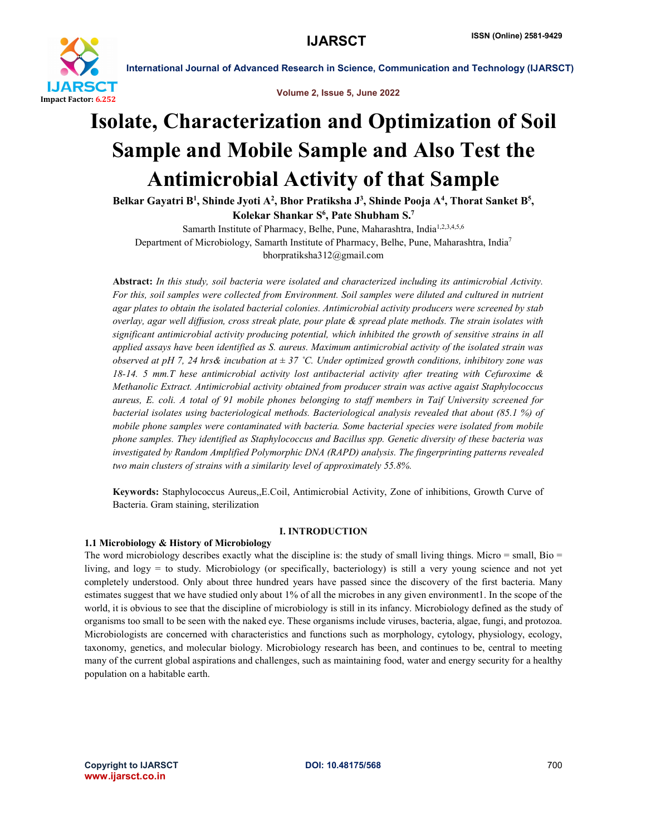

Volume 2, Issue 5, June 2022

## Isolate, Characterization and Optimization of Soil Sample and Mobile Sample and Also Test the Antimicrobial Activity of that Sample

Belkar Gayatri B<sup>1</sup>, Shinde Jyoti A<sup>2</sup>, Bhor Pratiksha J<sup>3</sup>, Shinde Pooja A<sup>4</sup>, Thorat Sanket B<sup>5</sup>, Kolekar Shankar S<sup>6</sup>, Pate Shubham S.<sup>7</sup>

Samarth Institute of Pharmacy, Belhe, Pune, Maharashtra, India<sup>1,2,3,4,5,6</sup> Department of Microbiology, Samarth Institute of Pharmacy, Belhe, Pune, Maharashtra, India7 bhorpratiksha312@gmail.com

Abstract: *In this study, soil bacteria were isolated and characterized including its antimicrobial Activity. For this, soil samples were collected from Environment. Soil samples were diluted and cultured in nutrient agar plates to obtain the isolated bacterial colonies. Antimicrobial activity producers were screened by stab overlay, agar well diffusion, cross streak plate, pour plate & spread plate methods. The strain isolates with significant antimicrobial activity producing potential, which inhibited the growth of sensitive strains in all applied assays have been identified as S. aureus. Maximum antimicrobial activity of the isolated strain was observed at pH 7, 24 hrs& incubation at ± 37 ˚C. Under optimized growth conditions, inhibitory zone was 18-14. 5 mm.T hese antimicrobial activity lost antibacterial activity after treating with Cefuroxime & Methanolic Extract. Antimicrobial activity obtained from producer strain was active agaist Staphylococcus aureus, E. coli. A total of 91 mobile phones belonging to staff members in Taif University screened for bacterial isolates using bacteriological methods. Bacteriological analysis revealed that about (85.1 %) of mobile phone samples were contaminated with bacteria. Some bacterial species were isolated from mobile phone samples. They identified as Staphylococcus and Bacillus spp. Genetic diversity of these bacteria was investigated by Random Amplified Polymorphic DNA (RAPD) analysis. The fingerprinting patterns revealed two main clusters of strains with a similarity level of approximately 55.8%.*

Keywords: Staphylococcus Aureus,,E.Coil, Antimicrobial Activity, Zone of inhibitions, Growth Curve of Bacteria. Gram staining, sterilization

### I. INTRODUCTION

#### 1.1 Microbiology & History of Microbiology

The word microbiology describes exactly what the discipline is: the study of small living things. Micro  $=$  small, Bio  $=$ living, and logy = to study. Microbiology (or specifically, bacteriology) is still a very young science and not yet completely understood. Only about three hundred years have passed since the discovery of the first bacteria. Many estimates suggest that we have studied only about 1% of all the microbes in any given environment1. In the scope of the world, it is obvious to see that the discipline of microbiology is still in its infancy. Microbiology defined as the study of organisms too small to be seen with the naked eye. These organisms include viruses, bacteria, algae, fungi, and protozoa. Microbiologists are concerned with characteristics and functions such as morphology, cytology, physiology, ecology, taxonomy, genetics, and molecular biology. Microbiology research has been, and continues to be, central to meeting many of the current global aspirations and challenges, such as maintaining food, water and energy security for a healthy population on a habitable earth.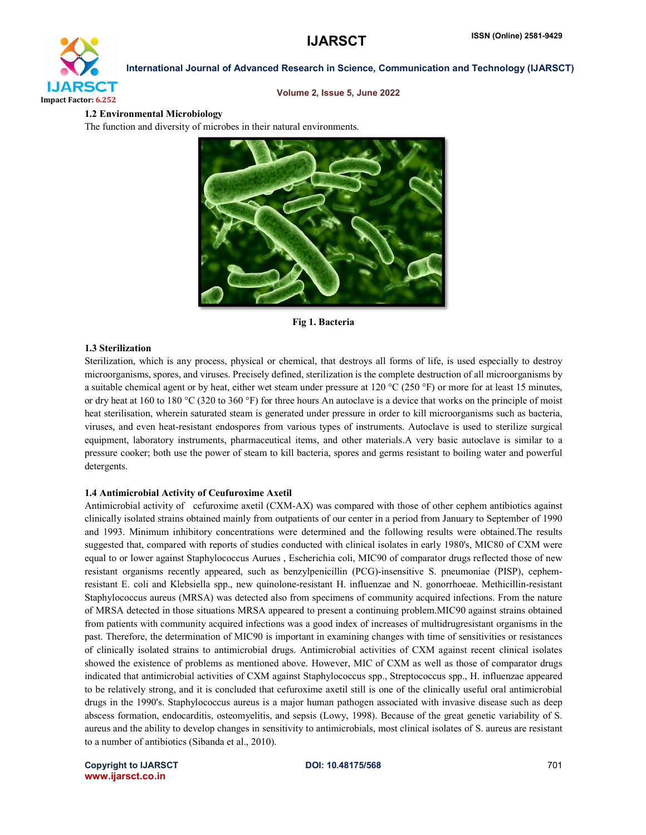

#### Volume 2, Issue 5, June 2022

#### 1.2 Environmental Microbiology

The function and diversity of microbes in their natural environments.



Fig 1. Bacteria

#### 1.3 Sterilization

Sterilization, which is any process, physical or chemical, that destroys all forms of life, is used especially to destroy microorganisms, spores, and viruses. Precisely defined, sterilization is the complete destruction of all microorganisms by a suitable chemical agent or by heat, either wet steam under pressure at 120 °C (250 °F) or more for at least 15 minutes, or dry heat at 160 to 180 °C (320 to 360 °F) for three hours An autoclave is a device that works on the principle of moist heat sterilisation, wherein saturated steam is generated under pressure in order to kill microorganisms such as bacteria, viruses, and even heat-resistant endospores from various types of instruments. Autoclave is used to sterilize surgical equipment, laboratory instruments, pharmaceutical items, and other materials.A very basic autoclave is similar to a pressure cooker; both use the power of steam to kill bacteria, spores and germs resistant to boiling water and powerful detergents.

#### 1.4 Antimicrobial Activity of Ceufuroxime Axetil

Antimicrobial activity of cefuroxime axetil (CXM-AX) was compared with those of other cephem antibiotics against clinically isolated strains obtained mainly from outpatients of our center in a period from January to September of 1990 and 1993. Minimum inhibitory concentrations were determined and the following results were obtained.The results suggested that, compared with reports of studies conducted with clinical isolates in early 1980's, MIC80 of CXM were equal to or lower against Staphylococcus Aurues , Escherichia coli, MIC90 of comparator drugs reflected those of new resistant organisms recently appeared, such as benzylpenicillin (PCG)-insensitive S. pneumoniae (PISP), cephemresistant E. coli and Klebsiella spp., new quinolone-resistant H. influenzae and N. gonorrhoeae. Methicillin-resistant Staphylococcus aureus (MRSA) was detected also from specimens of community acquired infections. From the nature of MRSA detected in those situations MRSA appeared to present a continuing problem.MIC90 against strains obtained from patients with community acquired infections was a good index of increases of multidrugresistant organisms in the past. Therefore, the determination of MIC90 is important in examining changes with time of sensitivities or resistances of clinically isolated strains to antimicrobial drugs. Antimicrobial activities of CXM against recent clinical isolates showed the existence of problems as mentioned above. However, MIC of CXM as well as those of comparator drugs indicated that antimicrobial activities of CXM against Staphylococcus spp., Streptococcus spp., H. influenzae appeared to be relatively strong, and it is concluded that cefuroxime axetil still is one of the clinically useful oral antimicrobial drugs in the 1990's. Staphylococcus aureus is a major human pathogen associated with invasive disease such as deep abscess formation, endocarditis, osteomyelitis, and sepsis (Lowy, 1998). Because of the great genetic variability of S. aureus and the ability to develop changes in sensitivity to antimicrobials, most clinical isolates of S. aureus are resistant to a number of antibiotics (Sibanda et al., 2010).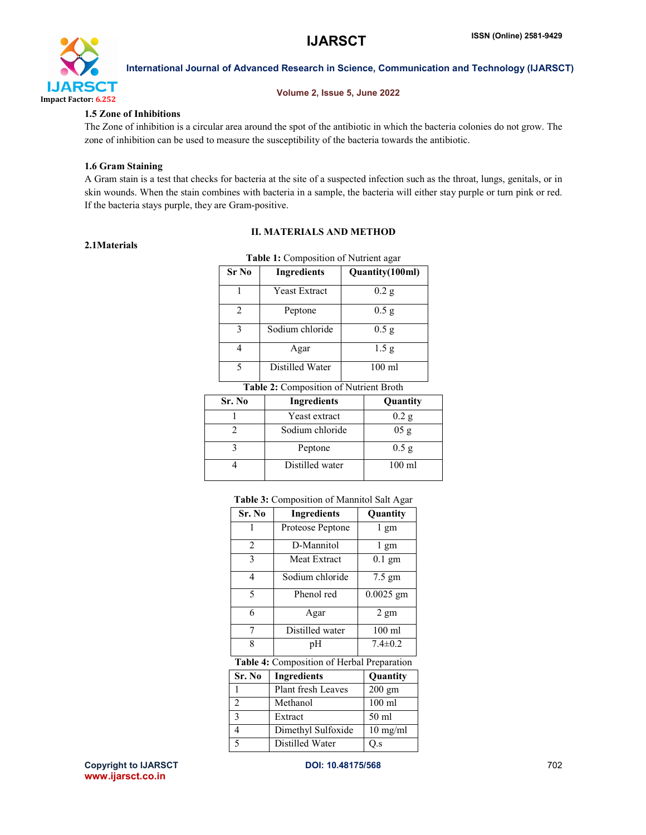

#### Volume 2, Issue 5, June 2022

#### 1.5 Zone of Inhibitions

The Zone of inhibition is a circular area around the spot of the antibiotic in which the bacteria colonies do not grow. The zone of inhibition can be used to measure the susceptibility of the bacteria towards the antibiotic.

#### 1.6 Gram Staining

A Gram stain is a test that checks for bacteria at the site of a suspected infection such as the throat, lungs, genitals, or in skin wounds. When the stain combines with bacteria in a sample, the bacteria will either stay purple or turn pink or red. If the bacteria stays purple, they are Gram-positive.

## II. MATERIALS AND METHOD

#### 2.1Materials

| Sr No                                  | <b>Ingredients</b>   | Quantity(100ml)  |
|----------------------------------------|----------------------|------------------|
|                                        | <b>Yeast Extract</b> | 0.2 g            |
| $\mathfrak{D}$                         | Peptone              | 0.5g             |
| 3                                      | Sodium chloride      | 0.5g             |
| 4                                      | Agar                 | 1.5 <sub>g</sub> |
| 5                                      | Distilled Water      | $100 \text{ ml}$ |
| Table 2: Composition of Nutrient Broth |                      |                  |

| Sr. No | <b>Ingredients</b> | Quantity         |
|--------|--------------------|------------------|
|        | Yeast extract      | 0.2 g            |
|        | Sodium chloride    | 05g              |
|        | Peptone            | 0.5 <sub>g</sub> |
|        | Distilled water    | $100 \text{ ml}$ |

#### Table 3: Composition of Mannitol Salt Agar

| Sr. No         | <b>Ingredients</b>                         | Quantity           |  |
|----------------|--------------------------------------------|--------------------|--|
| 1              | Proteose Peptone                           | 1 gm               |  |
| 2              | D-Mannitol                                 | l gm               |  |
| 3              | <b>Meat Extract</b>                        | $0.1 \text{ gm}$   |  |
| 4              | Sodium chloride                            | 7.5 gm             |  |
| 5              | Phenol red                                 | $0.0025$ gm        |  |
| 6              | Agar                                       | 2 gm               |  |
| 7              | Distilled water                            | $100 \text{ ml}$   |  |
| 8              | pH                                         | $7.4 \pm 0.2$      |  |
|                | Table 4: Composition of Herbal Preparation |                    |  |
| Sr. No         | <b>Ingredients</b>                         | Quantity           |  |
| 1              | <b>Plant fresh Leaves</b>                  | $200 \text{ gm}$   |  |
| $\overline{2}$ | Methanol                                   | $100$ ml           |  |
| 3              | Extract                                    | 50 ml              |  |
| 4              | Dimethyl Sulfoxide                         | $10 \text{ mg/ml}$ |  |
| 5              | Distilled Water                            | Q.s                |  |

Copyright to IJARSCT **DOI: 10.48175/568 DOI: 10.48175/568** 702 www.ijarsct.co.in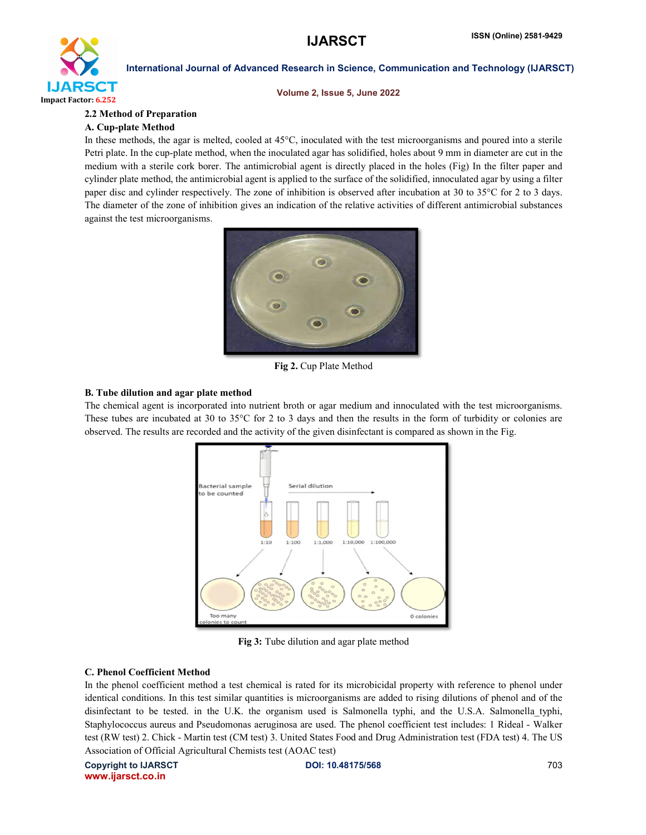

#### Volume 2, Issue 5, June 2022

#### 2.2 Method of Preparation

#### A. Cup-plate Method

In these methods, the agar is melted, cooled at 45°C, inoculated with the test microorganisms and poured into a sterile Petri plate. In the cup-plate method, when the inoculated agar has solidified, holes about 9 mm in diameter are cut in the medium with a sterile cork borer. The antimicrobial agent is directly placed in the holes (Fig) In the filter paper and cylinder plate method, the antimicrobial agent is applied to the surface of the solidified, innoculated agar by using a filter paper disc and cylinder respectively. The zone of inhibition is observed after incubation at 30 to 35°C for 2 to 3 days. The diameter of the zone of inhibition gives an indication of the relative activities of different antimicrobial substances against the test microorganisms.



Fig 2. Cup Plate Method

#### B. Tube dilution and agar plate method

The chemical agent is incorporated into nutrient broth or agar medium and innoculated with the test microorganisms. These tubes are incubated at 30 to 35 $\degree$ C for 2 to 3 days and then the results in the form of turbidity or colonies are observed. The results are recorded and the activity of the given disinfectant is compared as shown in the Fig.



Fig 3: Tube dilution and agar plate method

#### C. Phenol Coefficient Method

In the phenol coefficient method a test chemical is rated for its microbicidal property with reference to phenol under identical conditions. In this test similar quantities is microorganisms are added to rising dilutions of phenol and of the disinfectant to be tested. in the U.K. the organism used is Salmonella typhi, and the U.S.A. Salmonella typhi, Staphylococcus aureus and Pseudomonas aeruginosa are used. The phenol coefficient test includes: 1 Rideal - Walker test (RW test) 2. Chick - Martin test (CM test) 3. United States Food and Drug Administration test (FDA test) 4. The US Association of Official Agricultural Chemists test (AOAC test)

Copyright to IJARSCT **DOI: 10.48175/568** 703 www.ijarsct.co.in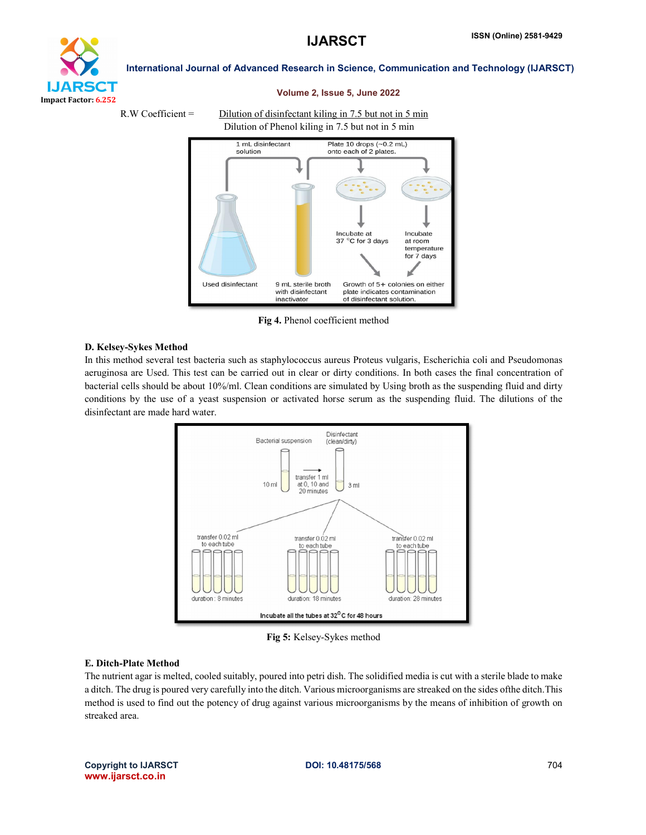

#### Volume 2, Issue 5, June 2022

#### R.W Coefficient = Dilution of disinfectant kiling in 7.5 but not in 5 min Dilution of Phenol kiling in 7.5 but not in 5 min



Fig 4. Phenol coefficient method

#### D. Kelsey-Sykes Method

In this method several test bacteria such as staphylococcus aureus Proteus vulgaris, Escherichia coli and Pseudomonas aeruginosa are Used. This test can be carried out in clear or dirty conditions. In both cases the final concentration of bacterial cells should be about 10%/ml. Clean conditions are simulated by Using broth as the suspending fluid and dirty conditions by the use of a yeast suspension or activated horse serum as the suspending fluid. The dilutions of the disinfectant are made hard water.



Fig 5: Kelsey-Sykes method

#### E. Ditch-Plate Method

The nutrient agar is melted, cooled suitably, poured into petri dish. The solidified media is cut with a sterile blade to make a ditch. The drug is poured very carefully into the ditch. Various microorganisms are streaked on the sides ofthe ditch.This method is used to find out the potency of drug against various microorganisms by the means of inhibition of growth on streaked area.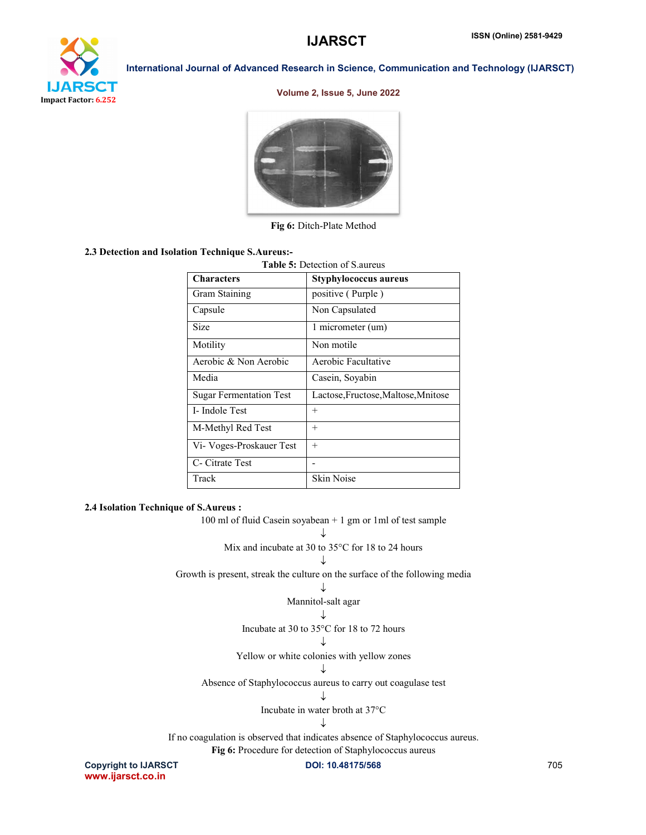

#### Volume 2, Issue 5, June 2022



Fig 6: Ditch-Plate Method

#### 2.3 Detection and Isolation Technique S.Aureus:-

| <b>Table 5: Detection of S.aureus</b> |                                     |  |
|---------------------------------------|-------------------------------------|--|
| <b>Characters</b>                     | Styphylococcus aureus               |  |
| Gram Staining                         | positive (Purple)                   |  |
| Capsule                               | Non Capsulated                      |  |
| Size                                  | 1 micrometer (um)                   |  |
| Motility                              | Non motile                          |  |
| Aerobic & Non Aerobic                 | Aerobic Facultative                 |  |
| Media                                 | Casein, Soyabin                     |  |
| <b>Sugar Fermentation Test</b>        | Lactose, Fructose, Maltose, Mnitose |  |
| I- Indole Test                        | $^{+}$                              |  |
| M-Methyl Red Test                     | $+$                                 |  |
| Vi- Voges-Proskauer Test              | $+$                                 |  |
| C- Citrate Test                       |                                     |  |
| Track                                 | <b>Skin Noise</b>                   |  |

#### 2.4 Isolation Technique of S.Aureus :

www.ijarsct.co.in

Copyright to IJARSCT **DOI: 10.48175/568 DOI: 10.48175/568** 705 100 ml of fluid Casein soyabean + 1 gm or 1ml of test sample ↓ Mix and incubate at 30 to 35°C for 18 to 24 hours J Growth is present, streak the culture on the surface of the following media ↓ Mannitol-salt agar L. Incubate at 30 to 35°C for 18 to 72 hours J Yellow or white colonies with yellow zones ↓ Absence of Staphylococcus aureus to carry out coagulase test J Incubate in water broth at 37°C J If no coagulation is observed that indicates absence of Staphylococcus aureus. Fig 6: Procedure for detection of Staphylococcus aureus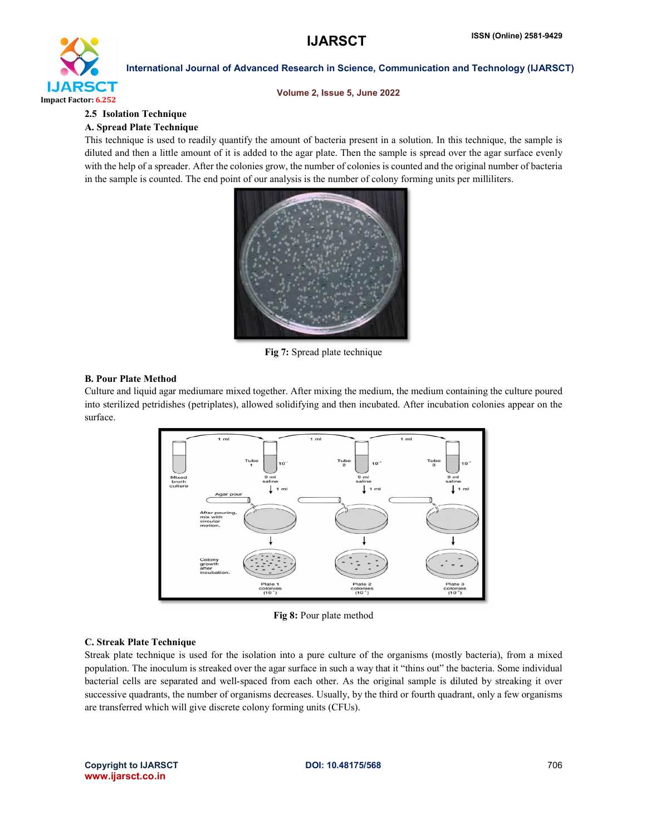

#### Volume 2, Issue 5, June 2022

## 2.5 Isolation Technique

## A. Spread Plate Technique

This technique is used to readily quantify the amount of bacteria present in a solution. In this technique, the sample is diluted and then a little amount of it is added to the agar plate. Then the sample is spread over the agar surface evenly with the help of a spreader. After the colonies grow, the number of colonies is counted and the original number of bacteria in the sample is counted. The end point of our analysis is the number of colony forming units per milliliters.



Fig 7: Spread plate technique

#### B. Pour Plate Method

Culture and liquid agar mediumare mixed together. After mixing the medium, the medium containing the culture poured into sterilized petridishes (petriplates), allowed solidifying and then incubated. After incubation colonies appear on the surface.



Fig 8: Pour plate method

### C. Streak Plate Technique

Streak plate technique is used for the isolation into a pure culture of the organisms (mostly bacteria), from a mixed population. The inoculum is streaked over the agar surface in such a way that it "thins out" the bacteria. Some individual bacterial cells are separated and well-spaced from each other. As the original sample is diluted by streaking it over successive quadrants, the number of organisms decreases. Usually, by the third or fourth quadrant, only a few organisms are transferred which will give discrete colony forming units (CFUs).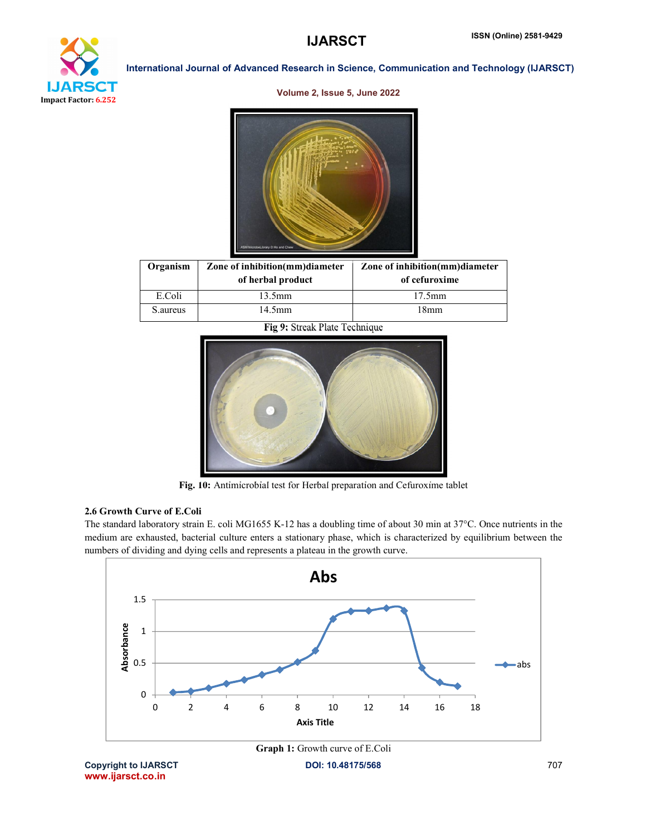# XТ Impact Factor: 6.252

International Journal of Advanced Research in Science, Communication and Technology (IJARSCT)

#### Volume 2, Issue 5, June 2022



| Organism  | Zone of inhibition(mm)diameter<br>of herbal product | Zone of inhibition(mm)diameter<br>of cefuroxime |
|-----------|-----------------------------------------------------|-------------------------------------------------|
| E.Coli    | 13.5mm                                              | $17.5$ mm                                       |
| S. aureus | 14.5mm                                              | 18mm                                            |

Fig 9: Streak Plate Technique



Fig. 10: Antimicrobial test for Herbal preparation and Cefuroxime tablet

### 2.6 Growth Curve of E.Coli

The standard laboratory strain E. coli MG1655 K-12 has a doubling time of about 30 min at 37°C. Once nutrients in the medium are exhausted, bacterial culture enters a stationary phase, which is characterized by equilibrium between the numbers of dividing and dying cells and represents a plateau in the growth curve.



Copyright to IJARSCT **DOI: 10.48175/568** 707 www.ijarsct.co.in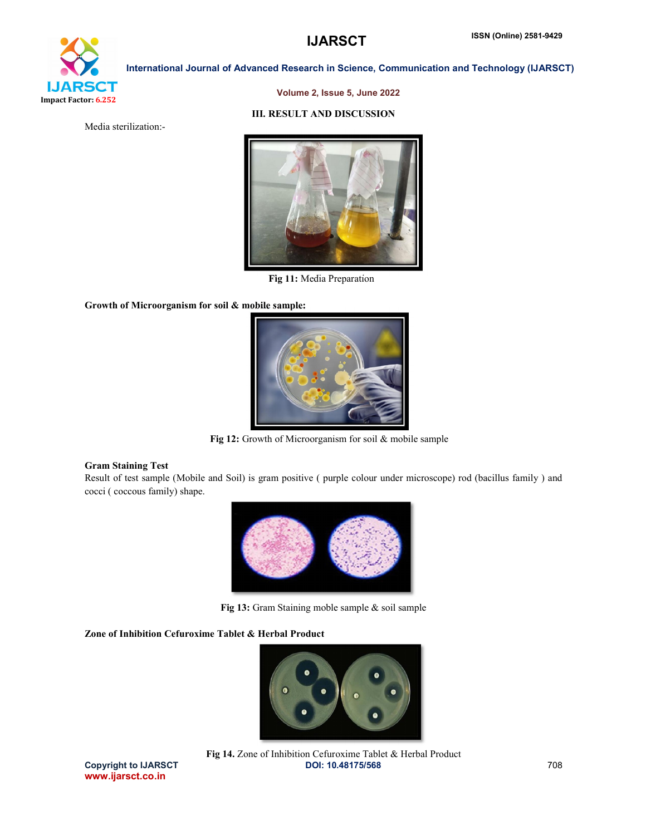

#### Volume 2, Issue 5, June 2022

#### III. RESULT AND DISCUSSION

Media sterilization:-



Fig 11: Media Preparation

Growth of Microorganism for soil & mobile sample:



Fig 12: Growth of Microorganism for soil & mobile sample

#### Gram Staining Test

Result of test sample (Mobile and Soil) is gram positive ( purple colour under microscope) rod (bacillus family ) and cocci ( coccous family) shape.



Fig 13: Gram Staining moble sample & soil sample

#### Zone of Inhibition Cefuroxime Tablet & Herbal Product



www.ijarsct.co.in

Copyright to IJARSCT **DOI: 10.48175/568 DOI: 10.48175/568** 708 Fig 14. Zone of Inhibition Cefuroxime Tablet & Herbal Product